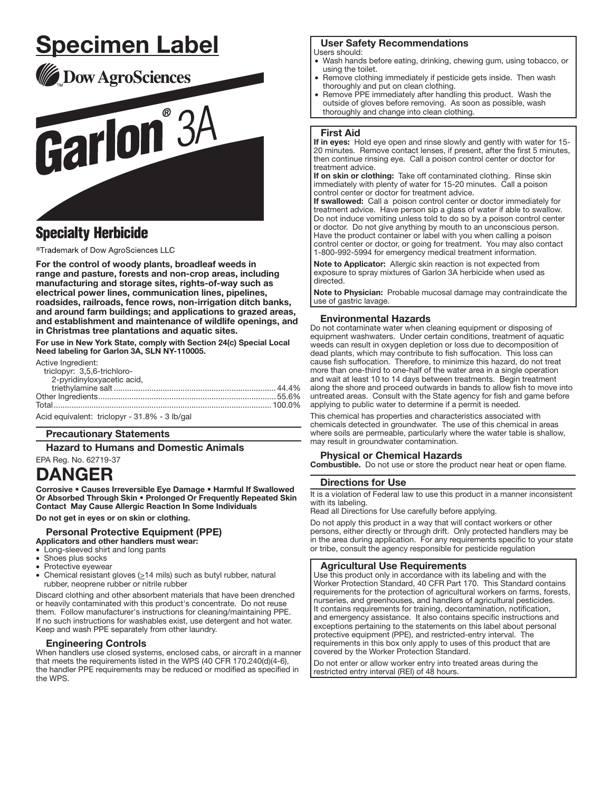# <u>Specimen Label</u>

Dow AgroSciences

# Garlon<sup>°3A</sup>

# **Specialty Herbicide**

®Trademark of Dow AgroSciences LLC

For the control of woody plants, broadleaf weeds in range and pasture, forests and non-crop areas, including manufacturing and storage sites, rights-of-way such as electrical power lines, communication lines, pipelines, roadsides, railroads, fence rows, non-irrigation ditch banks, and around farm buildings; and applications to grazed areas, and establishment and maintenance of wildlife openings, and in Christmas tree plantations and aquatic sites.

For use in New York State, comply with Section 24(c) Special Local Need labeling for Garlon 3A, SLN NY-110005.

Active Ingredient:

| <i>i</i> wuvu ingiuului.                      |  |
|-----------------------------------------------|--|
| triclopyr: 3,5,6-trichloro-                   |  |
| 2-pyridinyloxyacetic acid,                    |  |
|                                               |  |
|                                               |  |
|                                               |  |
| Acid equivalent: triclopyr - 31.8% - 3 lb/gal |  |

# Precautionary Statements

Hazard to Humans and Domestic Animals

# EPA Reg. No. 62719-37 DANGER

Corrosive • Causes Irreversible Eye Damage • Harmful If Swallowed Or Absorbed Through Skin • Prolonged Or Frequently Repeated Skin Contact May Cause Allergic Reaction In Some Individuals

Do not get in eyes or on skin or clothing.

# Personal Protective Equipment (PPE)

Applicators and other handlers must wear:

- · Long-sleeved shirt and long pants
- Shoes plus socks
- Protective eyewear • Chemical resistant gloves  $( \geq 14 \text{ miles})$  such as butyl rubber, natural
- rubber, neoprene rubber or nitrile rubber

Discard clothing and other absorbent materials that have been drenched or heavily contaminated with this product's concentrate. Do not reuse them. Follow manufacturer's instructions for cleaning/maintaining PPE. If no such instructions for washables exist, use detergent and hot water. Keep and wash PPE separately from other laundry.

# Engineering Controls

When handlers use closed systems, enclosed cabs, or aircraft in a manner that meets the requirements listed in the WPS (40 CFR 170.240(d)(4-6), the handler PPE requirements may be reduced or modified as specified in the WPS.

# User Safety Recommendations

Users should:

- Wash hands before eating, drinking, chewing gum, using tobacco, or using the toilet.
- Remove clothing immediately if pesticide gets inside. Then wash thoroughly and put on clean clothing.
- Remove PPE immediately after handling this product. Wash the outside of gloves before removing. As soon as possible, wash thoroughly and change into clean clothing.

# First Aid

֧֖֚֕֕֡

If in eyes: Hold eye open and rinse slowly and gently with water for 15-20 minutes. Remove contact lenses, if present, after the first 5 minutes, then continue rinsing eye. Call a poison control center or doctor for treatment advice.

If on skin or clothing: Take off contaminated clothing. Rinse skin immediately with plenty of water for 15-20 minutes. Call a poison control center or doctor for treatment advice.

If swallowed: Call a poison control center or doctor immediately for treatment advice. Have person sip a glass of water if able to swallow. Do not induce vomiting unless told to do so by a poison control center or doctor. Do not give anything by mouth to an unconscious person. Have the product container or label with you when calling a poison control center or doctor, or going for treatment. You may also contact 1-800-992-5994 for emergency medical treatment information.

Note to Applicator: Allergic skin reaction is not expected from exposure to spray mixtures of Garlon 3A herbicide when used as directed.

Note to Physician: Probable mucosal damage may contraindicate the use of gastric lavage. ŗ

# Environmental Hazards

Do not contaminate water when cleaning equipment or disposing of equipment washwaters. Under certain conditions, treatment of aquatic weeds can result in oxygen depletion or loss due to decomposition of dead plants, which may contribute to fish suffocation. This loss can cause fish suffocation. Therefore, to minimize this hazard, do not treat more than one-third to one-half of the water area in a single operation and wait at least 10 to 14 days between treatments. Begin treatment along the shore and proceed outwards in bands to allow fish to move into untreated areas. Consult with the State agency for fish and game before applying to public water to determine if a permit is needed.

This chemical has properties and characteristics associated with chemicals detected in groundwater. The use of this chemical in areas where soils are permeable, particularly where the water table is shallow, may result in groundwater contamination.

# Physical or Chemical Hazards

**Combustible.** Do not use or store the product near heat or open flame.

#### Directions for Use

It is a violation of Federal law to use this product in a manner inconsistent with its labeling.

Read all Directions for Use carefully before applying.

Do not apply this product in a way that will contact workers or other persons, either directly or through drift. Only protected handlers may be in the area during application. For any requirements specific to your state or tribe, consult the agency responsible for pesticide regulation

# Agricultural Use Requirements

Use this product only in accordance with its labeling and with the Worker Protection Standard, 40 CFR Part 170. This Standard contains requirements for the protection of agricultural workers on farms, forests, nurseries, and greenhouses, and handlers of agricultural pesticides. It contains requirements for training, decontamination, notification, and emergency assistance. It also contains specific instructions and exceptions pertaining to the statements on this label about personal protective equipment (PPE), and restricted-entry interval. The requirements in this box only apply to uses of this product that are covered by the Worker Protection Standard.

Do not enter or allow worker entry into treated areas during the restricted entry interval (REI) of 48 hours.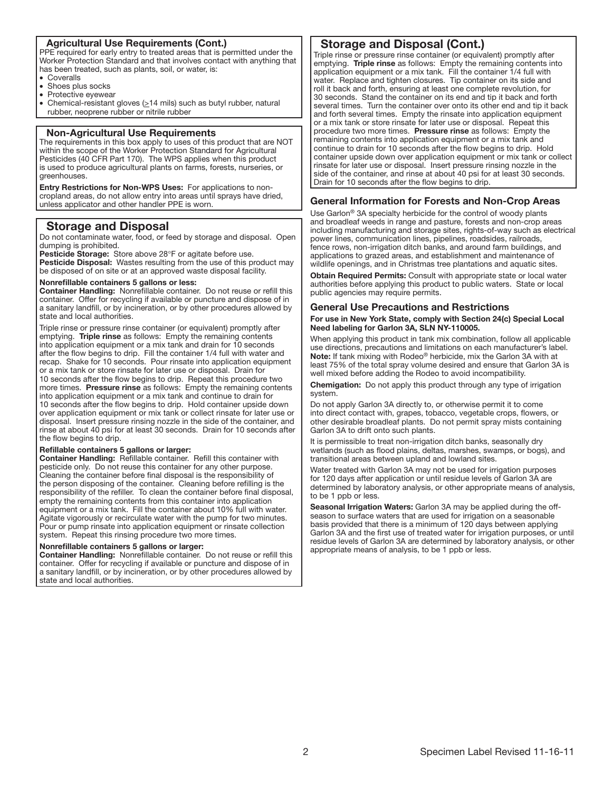# Agricultural Use Requirements (Cont.)

PPE required for early entry to treated areas that is permitted under the Worker Protection Standard and that involves contact with anything that has been treated, such as plants, soil, or water, is:

· Coveralls

֧֖֚֕֕֡

֧֖֚֕֕֡

- Shoes plus socks
- Protective eyewear
- · Chemical-resistant gloves (>14 mils) such as butyl rubber, natural rubber, neoprene rubber or nitrile rubber

#### Non-Agricultural Use Requirements

The requirements in this box apply to uses of this product that are NOT within the scope of the Worker Protection Standard for Agricultural Pesticides (40 CFR Part 170). The WPS applies when this product is used to produce agricultural plants on farms, forests, nurseries, or greenhouses.

Entry Restrictions for Non-WPS Uses: For applications to noncropland areas, do not allow entry into areas until sprays have dried, unless applicator and other handler PPE is worn.

# Storage and Disposal

Do not contaminate water, food, or feed by storage and disposal. Open dumping is prohibited.

Pesticide Storage: Store above 28°F or agitate before use. Pesticide Disposal: Wastes resulting from the use of this product may be disposed of on site or at an approved waste disposal facility.

#### Nonrefillable containers 5 gallons or less:

Container Handling: Nonrefillable container. Do not reuse or refill this container. Offer for recycling if available or puncture and dispose of in a sanitary land fill, or by incineration, or by other procedures allowed by state and local authorities.

Triple rinse or pressure rinse container (or equivalent) promptly after emptying. Triple rinse as follows: Empty the remaining contents into application equipment or a mix tank and drain for 10 seconds after the fiow begins to drip. Fill the container 1/4 full with water and recap. Shake for 10 seconds. Pour rinsate into application equipment or a mix tank or store rinsate for later use or disposal. Drain for 10 seconds after the flow begins to drip. Repeat this procedure two more times. Pressure rinse as follows: Empty the remaining contents into application equipment or a mix tank and continue to drain for 10 seconds after the flow begins to drip. Hold container upside down over application equipment or mix tank or collect rinsate for later use or disposal. Insert pressure rinsing nozzle in the side of the container, and rinse at about 40 psi for at least 30 seconds. Drain for 10 seconds after the fiow begins to drip.

#### Refillable containers 5 gallons or larger:

Container Handling: Refillable container. Refill this container with pesticide only. Do not reuse this container for any other purpose. Cleaning the container before final disposal is the responsibility of the person disposing of the container. Cleaning before refilling is the responsibility of the refiller. To clean the container before final disposal, empty the remaining contents from this container into application equipment or a mix tank. Fill the container about 10% full with water. Agitate vigorously or recirculate water with the pump for two minutes. Pour or pump rinsate into application equipment or rinsate collection system. Repeat this rinsing procedure two more times.

#### Nonrefillable containers 5 gallons or larger:

Container Handling: Nonrefillable container. Do not reuse or refill this container. Offer for recycling if available or puncture and dispose of in a sanitary land fill, or by incineration, or by other procedures allowed by state and local authorities.

# Storage and Disposal (Cont.)

Triple rinse or pressure rinse container (or equivalent) promptly after emptying. Triple rinse as follows: Empty the remaining contents into application equipment or a mix tank. Fill the container 1/4 full with water. Replace and tighten closures. Tip container on its side and roll it back and forth, ensuring at least one complete revolution, for 30 seconds. Stand the container on its end and tip it back and forth several times. Turn the container over onto its other end and tip it back and forth several times. Empty the rinsate into application equipment or a mix tank or store rinsate for later use or disposal. Repeat this procedure two more times. Pressure rinse as follows: Empty the remaining contents into application equipment or a mix tank and continue to drain for 10 seconds after the fiow begins to drip. Hold container upside down over application equipment or mix tank or collect rinsate for later use or disposal. Insert pressure rinsing nozzle in the side of the container, and rinse at about 40 psi for at least 30 seconds. Drain for 10 seconds after the fiow begins to drip.

# General Information for Forests and Non-Crop Areas

Use Garlon® 3A specialty herbicide for the control of woody plants and broadleaf weeds in range and pasture, forests and non-crop areas including manufacturing and storage sites, rights-of-way such as electrical power lines, communication lines, pipelines, roadsides, railroads, fence rows, non-irrigation ditch banks, and around farm buildings, and applications to grazed areas, and establishment and maintenance of wildlife openings, and in Christmas tree plantations and aquatic sites.

Obtain Required Permits: Consult with appropriate state or local water authorities before applying this product to public waters. State or local public agencies may require permits.

# General Use Precautions and Restrictions

# For use in New York State, comply with Section 24(c) Special Local Need labeling for Garlon 3A, SLN NY-110005.

When applying this product in tank mix combination, follow all applicable use directions, precautions and limitations on each manufacturer's label. Note: If tank mixing with Rodeo® herbicide, mix the Garlon 3A with at least 75% of the total spray volume desired and ensure that Garlon 3A is well mixed before adding the Rodeo to avoid incompatibility.

Chemigation: Do not apply this product through any type of irrigation system.

Do not apply Garlon 3A directly to, or otherwise permit it to come into direct contact with, grapes, tobacco, vegetable crops, fiowers, or other desirable broadleaf plants. Do not permit spray mists containing Garlon 3A to drift onto such plants.

It is permissible to treat non-irrigation ditch banks, seasonally dry wetlands (such as fiood plains, deltas, marshes, swamps, or bogs), and transitional areas between upland and lowland sites.

Water treated with Garlon 3A may not be used for irrigation purposes for 120 days after application or until residue levels of Garlon 3A are determined by laboratory analysis, or other appropriate means of analysis, to be 1 ppb or less.

Seasonal Irrigation Waters: Garlon 3A may be applied during the offseason to surface waters that are used for irrigation on a seasonable basis provided that there is a minimum of 120 days between applying Garlon 3A and the first use of treated water for irrigation purposes, or until residue levels of Garlon 3A are determined by laboratory analysis, or other appropriate means of analysis, to be 1 ppb or less.

j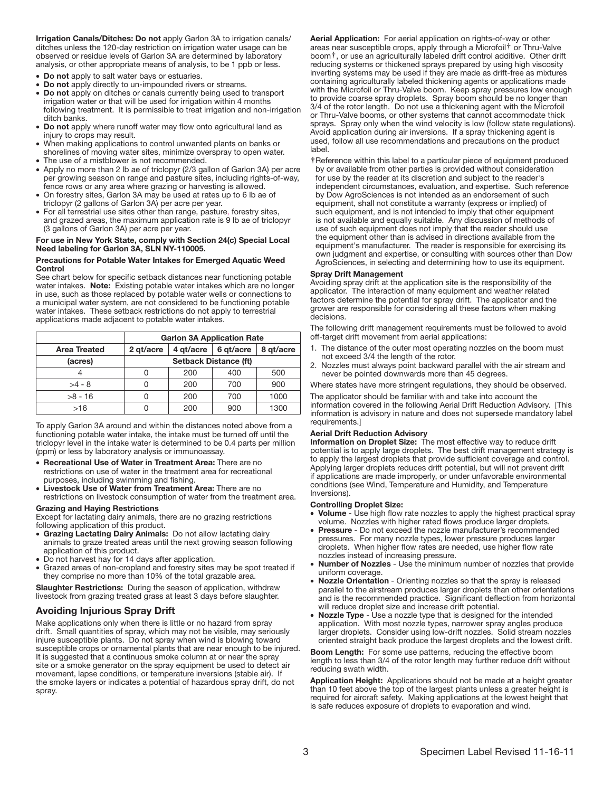Irrigation Canals/Ditches: Do not apply Garlon 3A to irrigation canals/ ditches unless the 120-day restriction on irrigation water usage can be observed or residue levels of Garlon 3A are determined by laboratory analysis, or other appropriate means of analysis, to be 1 ppb or less.

- Do not apply to salt water bays or estuaries.
- Do not apply directly to un-impounded rivers or streams.
- Do not apply on ditches or canals currently being used to transport irrigation water or that will be used for irrigation within 4 months following treatment. It is permissible to treat irrigation and non-irrigation ditch banks.
- · Do not apply where runoff water may fiow onto agricultural land as injury to crops may result.
- · When making applications to control unwanted plants on banks or shorelines of moving water sites, minimize overspray to open water.
- · The use of a mistblower is not recommended.
- · Apply no more than 2 lb ae of triclopyr (2/3 gallon of Garlon 3A) per acre per growing season on range and pasture sites, including rights-of-way, fence rows or any area where grazing or harvesting is allowed.
- · On forestry sites, Garlon 3A may be used at rates up to 6 lb ae of triclopyr (2 gallons of Garlon 3A) per acre per year.
- · For all terrestrial use sites other than range, pasture, forestry sites, and grazed areas, the maximum application rate is 9 lb ae of triclopyr (3 gallons of Garlon 3A) per acre per year.

# For use in New York State, comply with Section 24(c) Special Local Need labeling for Garlon 3A, SLN NY-110005.

#### Precautions for Potable Water Intakes for Emerged Aquatic Weed Control

See chart below for specific setback distances near functioning potable water intakes. Note: Existing potable water intakes which are no longer in use, such as those replaced by potable water wells or connections to a municipal water system, are not considered to be functioning potable water intakes. These setback restrictions do not apply to terrestrial applications made adjacent to potable water intakes.

|              | <b>Garlon 3A Application Rate</b> |           |           |           |
|--------------|-----------------------------------|-----------|-----------|-----------|
| Area Treated | 2 gt/acre                         | 4 gt/acre | 6 gt/acre | 8 gt/acre |
| (acres)      | <b>Setback Distance (ft)</b>      |           |           |           |
|              |                                   | 200       | 400       | 500       |
| $>4 - 8$     |                                   | 200       | 700       | 900       |
| $>8 - 16$    |                                   | 200       | 700       | 1000      |
| >16          |                                   | 200       | 900       | 1300      |

Ī To apply Garlon 3A around and within the distances noted above from a functioning potable water intake, the intake must be turned off until the triclopyr level in the intake water is determined to be 0.4 parts per million (ppm) or less by laboratory analysis or immunoassay.

· Recreational Use of Water in Treatment Area: There are no restrictions on use of water in the treatment area for recreational purposes, including swimming and fishing.

· Livestock Use of Water from Treatment Area: There are no restrictions on livestock consumption of water from the treatment area.

#### Grazing and Haying Restrictions

Except for lactating dairy animals, there are no grazing restrictions following application of this product.

- Grazing Lactating Dairy Animals: Do not allow lactating dairy animals to graze treated areas until the next growing season following application of this product.
- Do not harvest hay for 14 days after application.
- Grazed areas of non-cropland and forestry sites may be spot treated if they comprise no more than 10% of the total grazable area.

Slaughter Restrictions: During the season of application, withdraw livestock from grazing treated grass at least 3 days before slaughter.

# Avoiding Injurious Spray Drift

Make applications only when there is little or no hazard from spray drift. Small quantities of spray, which may not be visible, may seriously injure susceptible plants. Do not spray when wind is blowing toward susceptible crops or ornamental plants that are near enough to be injured. It is suggested that a continuous smoke column at or near the spray site or a smoke generator on the spray equipment be used to detect air movement, lapse conditions, or temperature inversions (stable air). If the smoke layers or indicates a potential of hazardous spray drift, do not spray.

Aerial Application: For aerial application on rights-of-way or other areas near susceptible crops, apply through a Microfoil† or Thru-Valve boom†, or use an agriculturally labeled drift control additive. Other drift reducing systems or thickened sprays prepared by using high viscosity inverting systems may be used if they are made as drift-free as mixtures containing agriculturally labeled thickening agents or applications made with the Microfoil or Thru-Valve boom. Keep spray pressures low enough to provide coarse spray droplets. Spray boom should be no longer than 3/4 of the rotor length. Do not use a thickening agent with the Microfoil or Thru-Valve booms, or other systems that cannot accommodate thick sprays. Spray only when the wind velocity is low (follow state regulations). Avoid application during air inversions. If a spray thickening agent is used, follow all use recommendations and precautions on the product label.

**†** Reference within this label to a particular piece of equipment produced by or available from other parties is provided without consideration for use by the reader at its discretion and subject to the reader's independent circumstances, evaluation, and expertise. Such reference by Dow AgroSciences is not intended as an endorsement of such equipment, shall not constitute a warranty (express or implied) of such equipment, and is not intended to imply that other equipment is not available and equally suitable. Any discussion of methods of use of such equipment does not imply that the reader should use the equipment other than is advised in directions available from the equipment's manufacturer. The reader is responsible for exercising its own judgment and expertise, or consulting with sources other than Dow AgroSciences, in selecting and determining how to use its equipment.

#### Spray Drift Management

Avoiding spray drift at the application site is the responsibility of the applicator. The interaction of many equipment and weather related factors determine the potential for spray drift. The applicator and the grower are responsible for considering all these factors when making decisions.

The following drift management requirements must be followed to avoid off-target drift movement from aerial applications:

- 1. The distance of the outer most operating nozzles on the boom must not exceed 3/4 the length of the rotor.
- 2. Nozzles must always point backward parallel with the air stream and never be pointed downwards more than 45 degrees.

Where states have more stringent regulations, they should be observed.

The applicator should be familiar with and take into account the information covered in the following Aerial Drift Reduction Advisory. [This information is advisory in nature and does not supersede mandatory label requirements.]

#### Aerial Drift Reduction Advisory

Information on Droplet Size: The most effective way to reduce drift potential is to apply large droplets. The best drift management strategy is to apply the largest droplets that provide sufflcient coverage and control. Applying larger droplets reduces drift potential, but will not prevent drift if applications are made improperly, or under unfavorable environmental conditions (see Wind, Temperature and Humidity, and Temperature Inversions).

#### Controlling Droplet Size:

- · Volume Use high fiow rate nozzles to apply the highest practical spray volume. Nozzles with higher rated fiows produce larger droplets.
- · Pressure Do not exceed the nozzle manufacturer's recommended pressures. For many nozzle types, lower pressure produces larger droplets. When higher fiow rates are needed, use higher fiow rate nozzles instead of increasing pressure.
- · Number of Nozzles Use the minimum number of nozzles that provide uniform coverage.
- · Nozzle Orientation Orienting nozzles so that the spray is released parallel to the airstream produces larger droplets than other orientations and is the recommended practice. Significant deflection from horizontal will reduce droplet size and increase drift potential.
- Nozzle Type Use a nozzle type that is designed for the intended application. With most nozzle types, narrower spray angles produce larger droplets. Consider using low-drift nozzles. Solid stream nozzles oriented straight back produce the largest droplets and the lowest drift.

Boom Length: For some use patterns, reducing the effective boom length to less than 3/4 of the rotor length may further reduce drift without reducing swath width.

Application Height: Applications should not be made at a height greater than 10 feet above the top of the largest plants unless a greater height is required for aircraft safety. Making applications at the lowest height that is safe reduces exposure of droplets to evaporation and wind.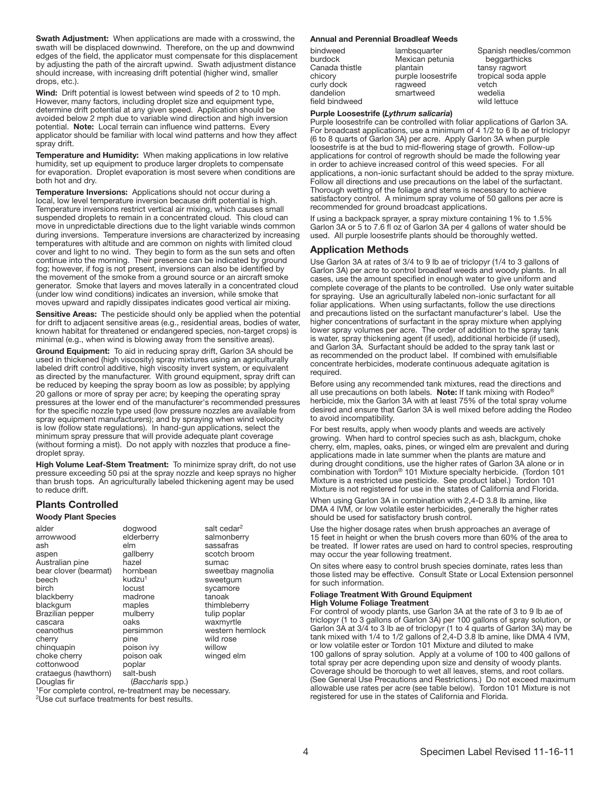Swath Adjustment: When applications are made with a crosswind, the swath will be displaced downwind. Therefore, on the up and downwind edges of the field, the applicator must compensate for this displacement by adjusting the path of the aircraft upwind. Swath adjustment distance should increase, with increasing drift potential (higher wind, smaller drops, etc.).

Wind: Drift potential is lowest between wind speeds of 2 to 10 mph. However, many factors, including droplet size and equipment type, determine drift potential at any given speed. Application should be avoided below 2 mph due to variable wind direction and high inversion potential. Note: Local terrain can infiuence wind patterns. Every applicator should be familiar with local wind patterns and how they affect spray drift.

Temperature and Humidity: When making applications in low relative humidity, set up equipment to produce larger droplets to compensate for evaporation. Droplet evaporation is most severe when conditions are both hot and dry.

Temperature Inversions: Applications should not occur during a local, low level temperature inversion because drift potential is high. Temperature inversions restrict vertical air mixing, which causes small suspended droplets to remain in a concentrated cloud. This cloud can move in unpredictable directions due to the light variable winds common during inversions. Temperature inversions are characterized by increasing temperatures with altitude and are common on nights with limited cloud cover and light to no wind. They begin to form as the sun sets and often continue into the morning. Their presence can be indicated by ground fog; however, if fog is not present, inversions can also be identified by the movement of the smoke from a ground source or an aircraft smoke generator. Smoke that layers and moves laterally in a concentrated cloud (under low wind conditions) indicates an inversion, while smoke that moves upward and rapidly dissipates indicates good vertical air mixing.

Sensitive Areas: The pesticide should only be applied when the potential for drift to adjacent sensitive areas (e.g., residential areas, bodies of water, known habitat for threatened or endangered species, non-target crops) is minimal (e.g., when wind is blowing away from the sensitive areas).

Ground Equipment: To aid in reducing spray drift, Garlon 3A should be used in thickened (high viscosity) spray mixtures using an agriculturally labeled drift control additive, high viscosity invert system, or equivalent as directed by the manufacturer. With ground equipment, spray drift can be reduced by keeping the spray boom as low as possible; by applying 20 gallons or more of spray per acre; by keeping the operating spray pressures at the lower end of the manufacturer's recommended pressures for the specific nozzle type used (low pressure nozzles are available from spray equipment manufacturers); and by spraying when wind velocity is low (follow state regulations). In hand-gun applications, select the minimum spray pressure that will provide adequate plant coverage (without forming a mist). Do not apply with nozzles that produce a finedroplet spray.

High Volume Leaf-Stem Treatment: To minimize spray drift, do not use pressure exceeding 50 psi at the spray nozzle and keep sprays no higher than brush tops. An agriculturally labeled thickening agent may be used to reduce drift.

# Plants Controlled

#### Woody Plant Species

alder arrowwood ash aspen Australian pine bear clover (bearmat) beech birch blackberry blackgum Brazilian pepper cascara ceanothus cherry chinquapin choke cherry cottonwood crataegus (hawthorn) Douglas fir dogwood elderberry elm gallberry hazel hornbean kudzu<sup>1</sup> locust madrone maples mulberry oaks persimmon pine poison ivy poison oak poplar salt-bush

salt cedar<sup>2</sup> salmonberry sassafras scotch broom sumac sweetbay magnolia sweetgum sycamore tanoak thimbleberry tulip poplar waxmyrtle western hemlock wild rose willow winged elm

(*Baccharis* spp.)

<sup>1</sup>For complete control, re-treatment may be necessary. <sup>2</sup>Use cut surface treatments for best results.

#### Annual and Perennial Broadleaf Weeds

| bindweed       |
|----------------|
| burdock        |
| Canada thistle |
| chicory        |
| curly dock     |
| dandelion      |
| field bindweed |

lambsquarter Mexican petunia plantain purple loosestrife ragweed smartweed

Spanish needles/common beggarthicks tansy ragwort tropical soda apple vetch wedelia wild lettuce

# Purple Loosestrife (*Lythrum salicaria*)

Purple loosestrife can be controlled with foliar applications of Garlon 3A. For broadcast applications, use a minimum of  $4\overline{1}/2$  to 6 lb ae of triclopyr (6 to 8 quarts of Garlon 3A) per acre. Apply Garlon 3A when purple loosestrife is at the bud to mid-fiowering stage of growth. Follow-up applications for control of regrowth should be made the following year in order to achieve increased control of this weed species. For all applications, a non-ionic surfactant should be added to the spray mixture. Follow all directions and use precautions on the label of the surfactant. Thorough wetting of the foliage and stems is necessary to achieve satisfactory control. A minimum spray volume of 50 gallons per acre is recommended for ground broadcast applications.

If using a backpack sprayer, a spray mixture containing 1% to 1.5% Garlon 3A or 5 to 7.6 fl oz of Garlon 3A per 4 gallons of water should be used. All purple loosestrife plants should be thoroughly wetted.

#### Application Methods

Use Garlon 3A at rates of 3/4 to 9 lb ae of triclopyr (1/4 to 3 gallons of Garlon 3A) per acre to control broadleaf weeds and woody plants. In all cases, use the amount specified in enough water to give uniform and complete coverage of the plants to be controlled. Use only water suitable for spraying. Use an agriculturally labeled non-ionic surfactant for all foliar applications. When using surfactants, follow the use directions and precautions listed on the surfactant manufacturer's label. Use the higher concentrations of surfactant in the spray mixture when applying lower spray volumes per acre. The order of addition to the spray tank is water, spray thickening agent (if used), additional herbicide (if used), and Garlon 3A. Surfactant should be added to the spray tank last or as recommended on the product label. If combined with emulsifiable concentrate herbicides, moderate continuous adequate agitation is required.

Before using any recommended tank mixtures, read the directions and all use precautions on both labels. Note: If tank mixing with Rodeo<sup>®</sup> herbicide, mix the Garlon 3A with at least 75% of the total spray volume desired and ensure that Garlon 3A is well mixed before adding the Rodeo to avoid incompatibility.

For best results, apply when woody plants and weeds are actively growing. When hard to control species such as ash, blackgum, choke cherry, elm, maples, oaks, pines, or winged elm are prevalent and during applications made in late summer when the plants are mature and during drought conditions, use the higher rates of Garlon 3A alone or in combination with Tordon® 101 Mixture specialty herbicide. (Tordon 101 Mixture is a restricted use pesticide. See product label.) Tordon 101 Mixture is not registered for use in the states of California and Florida.

When using Garlon 3A in combination with 2,4-D 3.8 lb amine, like DMA 4 IVM, or low volatile ester herbicides, generally the higher rates should be used for satisfactory brush control.

Use the higher dosage rates when brush approaches an average of 15 feet in height or when the brush covers more than 60% of the area to be treated. If lower rates are used on hard to control species, resprouting may occur the year following treatment.

On sites where easy to control brush species dominate, rates less than those listed may be effective. Consult State or Local Extension personnel for such information.

# Foliage Treatment With Ground Equipment

#### High Volume Foliage Treatment

For control of woody plants, use Garlon 3A at the rate of 3 to 9 lb ae of triclopyr (1 to 3 gallons of Garlon 3A) per 100 gallons of spray solution, or Garlon 3A at 3/4 to 3 lb ae of triclopyr (1 to 4 quarts of Garlon 3A) may be tank mixed with 1/4 to 1/2 gallons of 2,4-D 3.8 lb amine, like DMA 4 IVM, or low volatile ester or Tordon 101 Mixture and diluted to make 100 gallons of spray solution. Apply at a volume of 100 to 400 gallons of total spray per acre depending upon size and density of woody plants. Coverage should be thorough to wet all leaves, stems, and root collars. (See General Use Precautions and Restrictions.) Do not exceed maximum allowable use rates per acre (see table below). Tordon 101 Mixture is not registered for use in the states of California and Florida.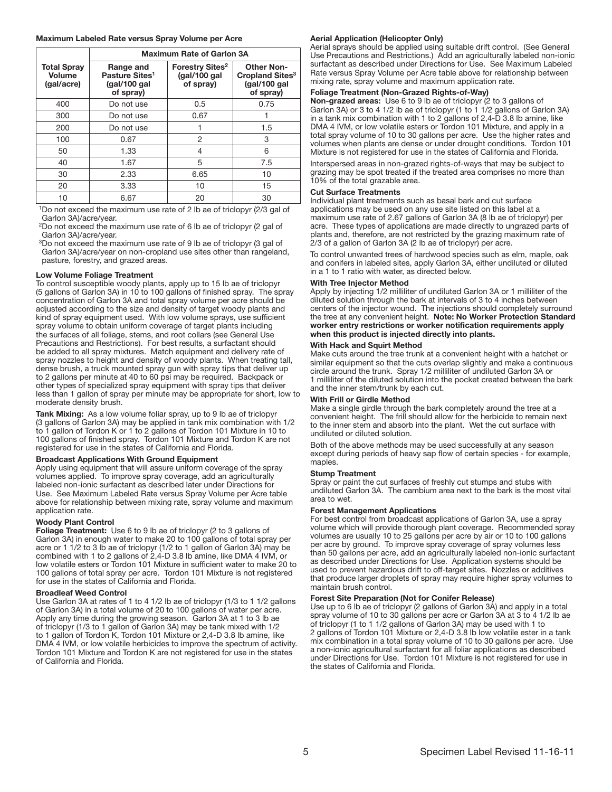#### Maximum Labeled Rate versus Spray Volume per Acre

|                                            | <b>Maximum Rate of Garlon 3A</b>                                      |                                                                 |                                                                                |
|--------------------------------------------|-----------------------------------------------------------------------|-----------------------------------------------------------------|--------------------------------------------------------------------------------|
| <b>Total Spray</b><br>Volume<br>(gal/acre) | Range and<br>Pasture Sites <sup>1</sup><br>(gal/100 gal)<br>of spray) | <b>Forestry Sites<sup>2</sup></b><br>(gal/100 gal)<br>of spray) | <b>Other Non-</b><br>Cropland Sites <sup>3</sup><br>(gal/100 gal)<br>of spray) |
| 400                                        | Do not use                                                            | 0.5                                                             | 0.75                                                                           |
| 300                                        | Do not use                                                            | 0.67                                                            |                                                                                |
| 200                                        | Do not use                                                            |                                                                 | 1.5                                                                            |
| 100                                        | 0.67                                                                  | $\overline{2}$                                                  | 3                                                                              |
| 50                                         | 1.33                                                                  | 4                                                               | 6                                                                              |
| 40                                         | 1.67                                                                  | 5                                                               | 7.5                                                                            |
| 30                                         | 2.33                                                                  | 6.65                                                            | 10                                                                             |
| 20                                         | 3.33                                                                  | 10                                                              | 15                                                                             |
| 10                                         | 6.67                                                                  | 20                                                              | 30                                                                             |

<sup>1</sup>Do not exceed the maximum use rate of 2 lb ae of triclopyr (2/3 gal of Garlon 3A)/acre/year.

<sup>2</sup>Do not exceed the maximum use rate of 6 lb ae of triclopyr (2 gal of Garlon 3A)/acre/year.

<sup>3</sup>Do not exceed the maximum use rate of 9 lb ae of triclopyr (3 gal of Garlon 3A)/acre/year on non-cropland use sites other than rangeland, pasture, forestry, and grazed areas.

#### Low Volume Foliage Treatment

To control susceptible woody plants, apply up to 15 lb ae of triclopyr (5 gallons of Garlon 3A) in 10 to 100 gallons of finished spray. The spray concentration of Garlon 3A and total spray volume per acre should be adjusted according to the size and density of target woody plants and kind of spray equipment used. With low volume sprays, use sufficient spray volume to obtain uniform coverage of target plants including the surfaces of all foliage, stems, and root collars (see General Use Precautions and Restrictions). For best results, a surfactant should be added to all spray mixtures. Match equipment and delivery rate of spray nozzles to height and density of woody plants. When treating tall, dense brush, a truck mounted spray gun with spray tips that deliver up to 2 gallons per minute at 40 to 60 psi may be required. Backpack or other types of specialized spray equipment with spray tips that deliver less than 1 gallon of spray per minute may be appropriate for short, low to moderate density brush.

Tank Mixing: As a low volume foliar spray, up to 9 lb ae of triclopyr (3 gallons of Garlon 3A) may be applied in tank mix combination with 1/2 to 1 gallon of Tordon K or 1 to 2 gallons of Tordon 101 Mixture in 10 to 100 gallons of finished spray. Tordon 101 Mixture and Tordon K are not registered for use in the states of California and Florida.

#### Broadcast Applications With Ground Equipment

Apply using equipment that will assure uniform coverage of the spray volumes applied. To improve spray coverage, add an agriculturally labeled non-ionic surfactant as described later under Directions for Use. See Maximum Labeled Rate versus Spray Volume per Acre table above for relationship between mixing rate, spray volume and maximum application rate.

#### Woody Plant Control

Foliage Treatment: Use 6 to 9 lb ae of triclopyr (2 to 3 gallons of Garlon 3A) in enough water to make 20 to 100 gallons of total spray per acre or 1 1/2 to 3 lb ae of triclopyr (1/2 to 1 gallon of Garlon 3A) may be combined with 1 to 2 gallons of 2,4-D 3.8 lb amine, like DMA 4 IVM, or low volatile esters or Tordon 101 Mixture in sufficient water to make 20 to 100 gallons of total spray per acre. Tordon 101 Mixture is not registered for use in the states of California and Florida.

#### Broadleaf Weed Control

Use Garlon 3A at rates of 1 to 4 1/2 lb ae of triclopyr (1/3 to 1 1/2 gallons of Garlon 3A) in a total volume of 20 to 100 gallons of water per acre. Apply any time during the growing season. Garlon 3A at 1 to 3 lb ae of triclopyr (1/3 to 1 gallon of Garlon 3A) may be tank mixed with 1/2 to 1 gallon of Tordon K, Tordon 101 Mixture or 2,4-D 3.8 lb amine, like DMA 4 IVM, or low volatile herbicides to improve the spectrum of activity. Tordon 101 Mixture and Tordon K are not registered for use in the states of California and Florida.

#### Aerial Application (Helicopter Only)

Aerial sprays should be applied using suitable drift control. (See General Use Precautions and Restrictions.) Add an agriculturally labeled non-ionic surfactant as described under Directions for Use. See Maximum Labeled Rate versus Spray Volume per Acre table above for relationship between mixing rate, spray volume and maximum application rate.

#### Foliage Treatment (Non-Grazed Rights-of-Way)

Non-grazed areas: Use 6 to 9 lb ae of triclopyr (2 to 3 gallons of Garlon 3A) or 3 to 4 1/2 lb ae of triclopyr (1 to 1 1/2 gallons of Garlon 3A) in a tank mix combination with 1 to 2 gallons of 2,4-D 3.8 lb amine, like DMA 4 IVM, or low volatile esters or Tordon 101 Mixture, and apply in a total spray volume of 10 to 30 gallons per acre. Use the higher rates and volumes when plants are dense or under drought conditions. Tordon 101 Mixture is not registered for use in the states of California and Florida.

Interspersed areas in non-grazed rights-of-ways that may be subject to grazing may be spot treated if the treated area comprises no more than 10% of the total grazable area.

#### Cut Surface Treatments

Individual plant treatments such as basal bark and cut surface applications may be used on any use site listed on this label at a maximum use rate of 2.67 gallons of Garlon 3A (8 lb ae of triclopyr) per acre. These types of applications are made directly to ungrazed parts of plants and, therefore, are not restricted by the grazing maximum rate of 2/3 of a gallon of Garlon 3A (2 lb ae of triclopyr) per acre.

To control unwanted trees of hardwood species such as elm, maple, oak and conifers in labeled sites, apply Garlon 3A, either undiluted or diluted in a 1 to 1 ratio with water, as directed below.

#### With Tree Injector Method

Apply by injecting 1/2 milliliter of undiluted Garlon 3A or 1 milliliter of the diluted solution through the bark at intervals of 3 to 4 inches between centers of the injector wound. The injections should completely surround the tree at any convenient height. Note: No Worker Protection Standard worker entry restrictions or worker notification requirements apply when this product is injected directly into plants.

#### With Hack and Squirt Method

Make cuts around the tree trunk at a convenient height with a hatchet or similar equipment so that the cuts overlap slightly and make a continuous circle around the trunk. Spray 1/2 milliliter of undiluted Garlon 3A or 1 milliliter of the diluted solution into the pocket created between the bark and the inner stem/trunk by each cut.

#### With Frill or Girdle Method

Make a single girdle through the bark completely around the tree at a convenient height. The frill should allow for the herbicide to remain next to the inner stem and absorb into the plant. Wet the cut surface with undiluted or diluted solution.

Both of the above methods may be used successfully at any season except during periods of heavy sap flow of certain species - for example, maples.

#### Stump Treatment

Spray or paint the cut surfaces of freshly cut stumps and stubs with undiluted Garlon 3A. The cambium area next to the bark is the most vital area to wet.

#### Forest Management Applications

For best control from broadcast applications of Garlon 3A, use a spray volume which will provide thorough plant coverage. Recommended spray volumes are usually 10 to 25 gallons per acre by air or 10 to 100 gallons per acre by ground. To improve spray coverage of spray volumes less than 50 gallons per acre, add an agriculturally labeled non-ionic surfactant as described under Directions for Use. Application systems should be used to prevent hazardous drift to off-target sites. Nozzles or additives that produce larger droplets of spray may require higher spray volumes to maintain brush control.

#### Forest Site Preparation (Not for Conifer Release)

Use up to 6 lb ae of triclopyr (2 gallons of Garlon 3A) and apply in a total spray volume of 10 to 30 gallons per acre or Garlon 3A at 3 to 4 1/2 lb ae of triclopyr (1 to 1 1/2 gallons of Garlon 3A) may be used with 1 to 2 gallons of Tordon 101 Mixture or 2,4-D 3.8 lb low volatile ester in a tank mix combination in a total spray volume of 10 to 30 gallons per acre. Use a non-ionic agricultural surfactant for all foliar applications as described under Directions for Use. Tordon 101 Mixture is not registered for use in the states of California and Florida.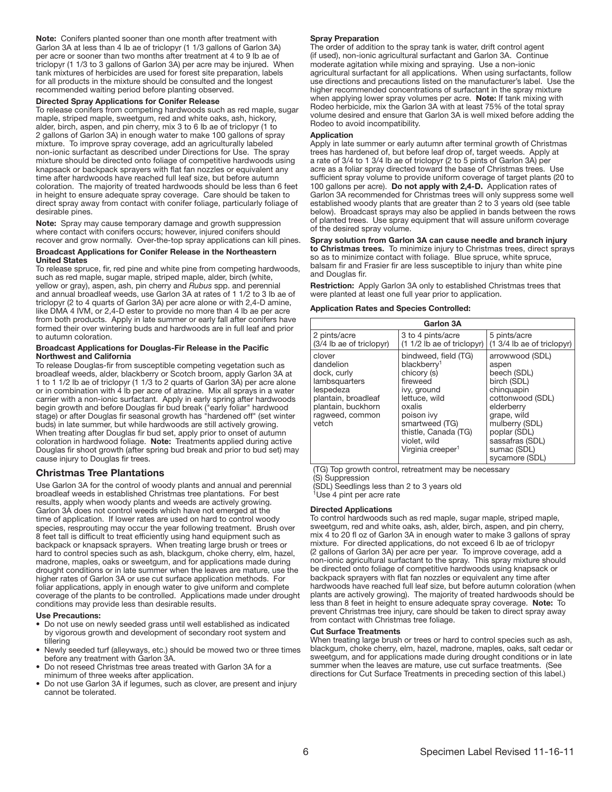Note: Conifers planted sooner than one month after treatment with Garlon 3A at less than 4 lb ae of triclopyr (1 1/3 gallons of Garlon 3A) per acre or sooner than two months after treatment at 4 to 9 lb ae of triclopyr (1 1/3 to 3 gallons of Garlon 3A) per acre may be injured. When tank mixtures of herbicides are used for forest site preparation, labels for all products in the mixture should be consulted and the longest recommended waiting period before planting observed.

#### Directed Spray Applications for Conifer Release

To release conifers from competing hardwoods such as red maple, sugar maple, striped maple, sweetgum, red and white oaks, ash, hickory, alder, birch, aspen, and pin cherry, mix 3 to 6 lb ae of triclopyr (1 to 2 gallons of Garlon 3A) in enough water to make 100 gallons of spray mixture. To improve spray coverage, add an agriculturally labeled non-ionic surfactant as described under Directions for Use. The spray mixture should be directed onto foliage of competitive hardwoods using knapsack or backpack sprayers with fiat fan nozzles or equivalent any time after hardwoods have reached full leaf size, but before autumn coloration. The majority of treated hardwoods should be less than 6 feet in height to ensure adequate spray coverage. Care should be taken to direct spray away from contact with conifer foliage, particularly foliage of desirable pines.

Note: Spray may cause temporary damage and growth suppression where contact with conifers occurs; however, injured conifers should recover and grow normally. Over-the-top spray applications can kill pines.

#### Broadcast Applications for Conifer Release in the Northeastern United States

To release spruce, fir, red pine and white pine from competing hardwoods, such as red maple, sugar maple, striped maple, alder, birch (white, yellow or gray), aspen, ash, pin cherry and *Rubus* spp. and perennial and annual broadleaf weeds, use Garlon 3A at rates of 1 1/2 to 3 lb ae of triclopyr (2 to 4 quarts of Garlon 3A) per acre alone or with 2,4-D amine, like DMA 4 IVM, or 2,4-D ester to provide no more than 4 lb ae per acre from both products. Apply in late summer or early fall after conifers have formed their over wintering buds and hardwoods are in full leaf and prior to autumn coloration.

#### Broadcast Applications for Douglas-Fir Release in the Pacific Northwest and California

To release Douglas-fir from susceptible competing vegetation such as broadleaf weeds, alder, blackberry or Scotch broom, apply Garlon 3A at 1 to 1 1/2 lb ae of triclopyr (1 1/3 to 2 quarts of Garlon 3A) per acre alone or in combination with 4 lb per acre of atrazine. Mix all sprays in a water carrier with a non-ionic surfactant. Apply in early spring after hardwoods begin growth and before Douglas fir bud break ("early foliar" hardwood stage) or after Douglas fir seasonal growth has "hardened off" (set winter buds) in late summer, but while hardwoods are still actively growing. When treating after Douglas fir bud set, apply prior to onset of autumn coloration in hardwood foliage. Note: Treatments applied during active Douglas fir shoot growth (after spring bud break and prior to bud set) may cause injury to Douglas flr trees.

# Christmas Tree Plantations

Use Garlon 3A for the control of woody plants and annual and perennial broadleaf weeds in established Christmas tree plantations. For best results, apply when woody plants and weeds are actively growing. Garlon 3A does not control weeds which have not emerged at the time of application. If lower rates are used on hard to control woody species, resprouting may occur the year following treatment. Brush over 8 feet tall is difflcult to treat efflciently using hand equipment such as backpack or knapsack sprayers. When treating large brush or trees or hard to control species such as ash, blackgum, choke cherry, elm, hazel, madrone, maples, oaks or sweetgum, and for applications made during drought conditions or in late summer when the leaves are mature, use the higher rates of Garlon 3A or use cut surface application methods. For foliar applications, apply in enough water to give uniform and complete coverage of the plants to be controlled. Applications made under drought conditions may provide less than desirable results.

#### Use Precautions:

- Do not use on newly seeded grass until well established as indicated by vigorous growth and development of secondary root system and tillering
- Newly seeded turf (alleyways, etc.) should be mowed two or three times before any treatment with Garlon 3A.
- Do not reseed Christmas tree areas treated with Garlon 3A for a minimum of three weeks after application.
- Do not use Garlon 3A if legumes, such as clover, are present and injury cannot be tolerated.

#### Spray Preparation

The order of addition to the spray tank is water, drift control agent (if used), non-ionic agricultural surfactant and Garlon 3A. Continue moderate agitation while mixing and spraying. Use a non-ionic agricultural surfactant for all applications. When using surfactants, follow use directions and precautions listed on the manufacturer's label. Use the higher recommended concentrations of surfactant in the spray mixture when applying lower spray volumes per acre. Note: If tank mixing with Rodeo herbicide, mix the Garlon 3A with at least 75% of the total spray volume desired and ensure that Garlon 3A is well mixed before adding the Rodeo to avoid incompatibility.

#### **Application**

Apply in late summer or early autumn after terminal growth of Christmas trees has hardened of, but before leaf drop of, target weeds. Apply at a rate of 3/4 to 1 3/4 lb ae of triclopyr (2 to 5 pints of Garlon 3A) per acre as a foliar spray directed toward the base of Christmas trees. Use sufficient spray volume to provide uniform coverage of target plants (20 to 100 gallons per acre). Do not apply with 2,4-D. Application rates of Garlon 3A recommended for Christmas trees will only suppress some well established woody plants that are greater than 2 to 3 years old (see table below). Broadcast sprays may also be applied in bands between the rows of planted trees. Use spray equipment that will assure uniform coverage of the desired spray volume.

Spray solution from Garlon 3A can cause needle and branch injury to Christmas trees. To minimize injury to Christmas trees, direct sprays so as to minimize contact with foliage. Blue spruce, white spruce, balsam fir and Frasier fir are less susceptible to injury than white pine and Douglas fir.

Restriction: Apply Garlon 3A only to established Christmas trees that were planted at least one full year prior to application.

# Application Rates and Species Controlled:

| Garlon 3A                                                                                                                                 |                                                                                                                                                                                                                               |                                                                                                                                                                                                             |  |  |
|-------------------------------------------------------------------------------------------------------------------------------------------|-------------------------------------------------------------------------------------------------------------------------------------------------------------------------------------------------------------------------------|-------------------------------------------------------------------------------------------------------------------------------------------------------------------------------------------------------------|--|--|
| 2 pints/acre<br>$(3/4)$ lb ae of triclopyr)                                                                                               | 3 to 4 pints/acre<br>$(11/2)$ lb ae of triclopyr)                                                                                                                                                                             | 5 pints/acre<br>$(1 \frac{3}{4}$ lb ae of triclopyr)                                                                                                                                                        |  |  |
| clover<br>dandelion<br>dock, curly<br>lambsquarters<br>lespedeza<br>plantain, broadleaf<br>plantain, buckhorn<br>ragweed, common<br>vetch | bindweed, field (TG)<br>blackberry <sup>1</sup><br>chicory (s)<br>fireweed<br>ivy, ground<br>lettuce, wild<br>oxalis<br>poison ivy<br>smartweed (TG)<br>thistle, Canada (TG)<br>violet, wild<br>Virginia creeper <sup>1</sup> | arrowwood (SDL)<br>aspen<br>beech (SDL)<br>birch (SDL)<br>chinguapin<br>cottonwood (SDL)<br>elderberry<br>grape, wild<br>mulberry (SDL)<br>poplar (SDL)<br>sassafras (SDL)<br>sumac (SDL)<br>sycamore (SDL) |  |  |

(TG) Top growth control, retreatment may be necessary

(S) Suppression

(SDL) Seedlings less than 2 to 3 years old

<sup>1</sup>Use 4 pint per acre rate

#### Directed Applications

To control hardwoods such as red maple, sugar maple, striped maple, sweetgum, red and white oaks, ash, alder, birch, aspen, and pin cherry, mix 4 to 20 fi oz of Garlon 3A in enough water to make 3 gallons of spray mixture. For directed applications, do not exceed 6 lb ae of triclopyr (2 gallons of Garlon 3A) per acre per year. To improve coverage, add a non-ionic agricultural surfactant to the spray. This spray mixture should be directed onto foliage of competitive hardwoods using knapsack or backpack sprayers with fiat fan nozzles or equivalent any time after hardwoods have reached full leaf size, but before autumn coloration (when plants are actively growing). The majority of treated hardwoods should be less than 8 feet in height to ensure adequate spray coverage. Note: To prevent Christmas tree injury, care should be taken to direct spray away from contact with Christmas tree foliage.

#### Cut Surface Treatments

When treating large brush or trees or hard to control species such as ash, blackgum, choke cherry, elm, hazel, madrone, maples, oaks, salt cedar or sweetgum, and for applications made during drought conditions or in late summer when the leaves are mature, use cut surface treatments. (See directions for Cut Surface Treatments in preceding section of this label.)